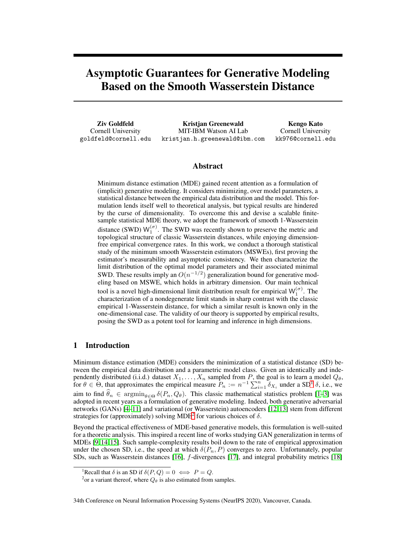# Asymptotic Guarantees for Generative Modeling Based on the Smooth Wasserstein Distance

Ziv Goldfeld Cornell University goldfeld@cornell.edu

Kristjan Greenewald MIT-IBM Watson AI Lab kristjan.h.greenewald@ibm.com

Kengo Kato Cornell University kk976@cornell.edu

# Abstract

Minimum distance estimation (MDE) gained recent attention as a formulation of (implicit) generative modeling. It considers minimizing, over model parameters, a statistical distance between the empirical data distribution and the model. This formulation lends itself well to theoretical analysis, but typical results are hindered by the curse of dimensionality. To overcome this and devise a scalable finitesample statistical MDE theory, we adopt the framework of smooth 1-Wasserstein distance (SWD)  $W_1^{(\sigma)}$ . The SWD was recently shown to preserve the metric and topological structure of classic Wasserstein distances, while enjoying dimensionfree empirical convergence rates. In this work, we conduct a thorough statistical study of the minimum smooth Wasserstein estimators (MSWEs), first proving the estimator's measurability and asymptotic consistency. We then characterize the limit distribution of the optimal model parameters and their associated minimal SWD. These results imply an  $O(n^{-1/2})$  generalization bound for generative modeling based on MSWE, which holds in arbitrary dimension. Our main technical tool is a novel high-dimensional limit distribution result for empirical  $W_1^{(\sigma)}$ . The characterization of a nondegenerate limit stands in sharp contrast with the classic empirical 1-Wasserstein distance, for which a similar result is known only in the one-dimensional case. The validity of our theory is supported by empirical results, posing the SWD as a potent tool for learning and inference in high dimensions.

# 1 Introduction

Minimum distance estimation (MDE) considers the minimization of a statistical distance (SD) between the empirical data distribution and a parametric model class. Given an identically and independently distributed (i.i.d.) dataset  $X_1, \ldots, X_n$  sampled from P, the goal is to learn a model  $Q_\theta$ , for  $\theta \in \Theta$ , that approximates the empirical measure  $P_n := n^{-1} \sum_{i=1}^n \delta_{X_i}$  $P_n := n^{-1} \sum_{i=1}^n \delta_{X_i}$  $P_n := n^{-1} \sum_{i=1}^n \delta_{X_i}$  under a SD<sup>1</sup>  $\delta$ , i.e., we aim to find  $\hat{\theta}_n \in \operatorname{argmin}_{\theta \in \Theta} \delta(P_n, Q_\theta)$ . This classic mathematical statistics problem [\[1–](#page-9-0)[3\]](#page-9-1) was adopted in recent years as a formulation of generative modeling. Indeed, both generative adversarial networks (GANs) [\[4–](#page-9-2)[11\]](#page-9-3) and variational (or Wasserstein) autoencoders [\[12,](#page-9-4) [13\]](#page-9-5) stem from different strategies for (approximately) solving MDE<sup>[2](#page-0-1)</sup> for various choices of  $\delta$ .

Beyond the practical effectiveness of MDE-based generative models, this formulation is well-suited for a theoretic analysis. This inspired a recent line of works studying GAN generalization in terms of MDEs [\[9,](#page-9-6) [14,](#page-9-7) [15\]](#page-10-0). Such sample-complexity results boil down to the rate of empirical approximation under the chosen SD, i.e., the speed at which  $\delta(P_n, P)$  converges to zero. Unfortunately, popular SDs, such as Wasserstein distances [\[16\]](#page-10-1), f-divergences [\[17\]](#page-10-2), and integral probability metrics [\[18\]](#page-10-3)

<sup>&</sup>lt;sup>1</sup>Recall that  $\delta$  is an SD if  $\delta(P,Q) = 0 \iff P = Q$ .

<span id="page-0-1"></span><span id="page-0-0"></span><sup>&</sup>lt;sup>2</sup> or a variant thereof, where  $Q_{\theta}$  is also estimated from samples.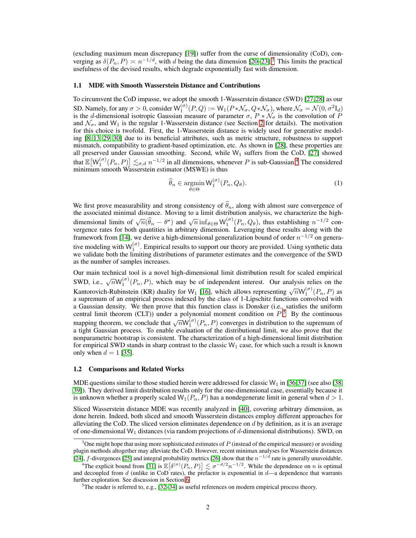(excluding maximum mean discrepancy [\[19\]](#page-10-4)) suffer from the curse of dimensionality (CoD), converging as  $\delta(P_n, P) \approx n^{-1/d}$ , with d being the data dimension [\[20](#page-10-5)[–23\]](#page-10-6).<sup>[3](#page-1-0)</sup> This limits the practical usefulness of the devised results, which degrade exponentially fast with dimension.

#### 1.1 MDE with Smooth Wasserstein Distance and Contributions

To circumvent the CoD impasse, we adopt the smooth 1-Wasserstein distance (SWD) [\[27,](#page-10-7)[28\]](#page-10-8) as our SD. Namely, for any  $\sigma > 0$ , consider  $W_1^{(\sigma)}(P,Q) := W_1(P * \mathcal{N}_{\sigma}, Q * \mathcal{N}_{\sigma})$ , where  $\mathcal{N}_{\sigma} = \mathcal{N}(0, \sigma^2 I_d)$ is the d-dimensional isotropic Gaussian measure of parameter  $\sigma$ ,  $P * \mathcal{N}_{\sigma}$  is the convolution of P and  $\mathcal{N}_{\sigma}$ , and W<sub>1</sub> is the regular 1-Wasserstein distance (see Section [2](#page-2-0) for details). The motivation for this choice is twofold. First, the 1-Wasserstein distance is widely used for generative modeling [\[8,](#page-9-8) [13,](#page-9-5) [29,](#page-10-9) [30\]](#page-10-10) due to its beneficial attributes, such as metric structure, robustness to support mismatch, compatibility to gradient-based optimization, etc. As shown in [\[28\]](#page-10-8), these properties are all preserved under Gaussian smoothing. Second, while  $W_1$  suffers from the CoD, [\[27\]](#page-10-7) showed that  $\mathbb{E}[W_1^{(\sigma)}(P_n,P)] \lesssim_{\sigma,d} n^{-1/2}$  in all dimensions, whenever P is sub-Gaussian.<sup>[4](#page-1-1)</sup> The considered minimum smooth Wasserstein estimator (MSWE) is thus

$$
\widehat{\theta}_n \in \operatorname*{argmin}_{\theta \in \Theta} \mathsf{W}_1^{(\sigma)}(P_n, Q_\theta). \tag{1}
$$

We first prove measurability and strong consistency of  $\theta_n$ , along with almost sure convergence of the associated minimal distance. Moving to a limit distribution analysis, we characterize the highdimensional limits of  $\sqrt{n}(\hat{\theta}_n - \theta^*)$  and  $\sqrt{n} \inf_{\theta \in \Theta} W_1^{(\sigma)}(P_n, Q_\theta)$ , thus establishing  $n^{-1/2}$  convergence rates for both quantities in arbitrary dimension. Leveraging these results along with the framework from [\[14\]](#page-9-7), we derive a high-dimensional generalization bound of order  $n^{-1/2}$  on generative modeling with  $W_1^{(\sigma)}$ . Empirical results to support our theory are provided. Using synthetic data we validate both the limiting distributions of parameter estimates and the convergence of the SWD as the number of samples increases.

Our main technical tool is a novel high-dimensional limit distribution result for scaled empirical SWD, i.e.,  $\sqrt{n}W_1^{(\sigma)}(P_n, P)$ , which may be of independent interest. Our analysis relies on the Kantorovich-Rubinstein (KR) duality for W<sub>1</sub> [\[16\]](#page-10-1), which allows representing  $\sqrt{n}W_1^{(\sigma)}(P_n, P)$  as a supremum of an empirical process indexed by the class of 1-Lipschitz functions convolved with a Gaussian density. We then prove that this function class is Donsker (i.e., satisfies the uniform central limit theorem (CLT)) under a polynomial moment condition on  $P^5$  $P^5$ . By the continuous mapping theorem, we conclude that  $\sqrt{n}W_1^{(\sigma)}(P_n, P)$  converges in distribution to the supremum of a tight Gaussian process. To enable evaluation of the distributional limit, we also prove that the nonparametric bootstrap is consistent. The characterization of a high-dimensional limit distribution for empirical SWD stands in sharp contrast to the classic  $W_1$  case, for which such a result is known only when  $d = 1$  [\[35\]](#page-10-11).

#### 1.2 Comparisons and Related Works

MDE questions similar to those studied herein were addressed for classic  $W_1$  in [\[36](#page-10-12)[,37\]](#page-11-0) (see also [\[38,](#page-11-1) [39\]](#page-11-2)). They derived limit distribution results only for the one-dimensional case, essentially because it is unknown whether a properly scaled  $W_1(P_n, P)$  has a nondegenerate limit in general when  $d > 1$ .

Sliced Wasserstein distance MDE was recently analyzed in [\[40\]](#page-11-3), covering arbitrary dimension, as done herein. Indeed, both sliced and smooth Wasserstein distances employ different approaches for alleviating the CoD. The sliced version eliminates dependence on  $d$  by definition, as it is an average of one-dimensional  $W_1$  distances (via random projections of d-dimensional distributions). SWD, on

<span id="page-1-0"></span> $3$ One might hope that using more sophisticated estimates of  $P$  (instead of the empirical measure) or avoiding plugin methods altogether may alleviate the CoD. However, recent minimax analyses for Wasserstein distances [\[24\]](#page-10-13), f-divergences [\[25\]](#page-10-14) and integral probability metrics [\[26\]](#page-10-15) show that the  $n^{-1/d}$  rate is generally unavoidable.

<span id="page-1-1"></span><sup>&</sup>lt;sup>4</sup>The explicit bound from [\[31\]](#page-10-16) is  $\mathbb{E}[\delta^{(\sigma)}(P_n, P)] \lesssim \sigma^{-d/2} n^{-1/2}$ . While the dependence on *n* is optimal and decoupled from d (unlike in CoD rates), the prefactor is exponential in  $d$ —a dependence that warrants further exploration. See discussion in Section [6.](#page-8-0)

<span id="page-1-2"></span> $5$ The reader is referred to, e.g., [\[32–](#page-10-17)[34\]](#page-10-18) as useful references on modern empirical process theory.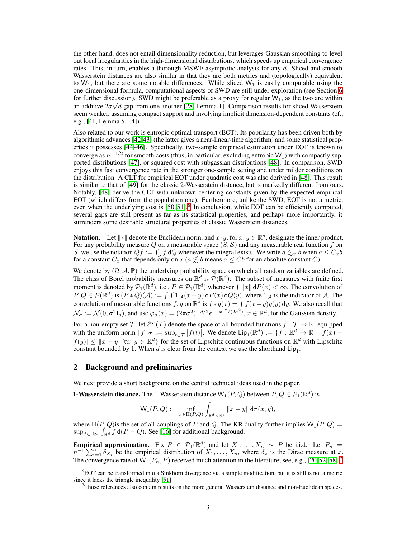the other hand, does not entail dimensionality reduction, but leverages Gaussian smoothing to level out local irregularities in the high-dimensional distributions, which speeds up empirical convergence rates. This, in turn, enables a thorough MSWE asymptotic analysis for any d. Sliced and smooth Wasserstein distances are also similar in that they are both metrics and (topologically) equivalent to  $W_1$ , but there are some notable differences. While sliced  $W_1$  is easily computable using the one-dimensional formula, computational aspects of SWD are still under exploration (see Section [6](#page-8-0) for further discussion). SWD might be preferable as a proxy for regular  $W_1$ , as the two are within an additive  $2\sigma\sqrt{d}$  gap from one another [\[28,](#page-10-8) Lemma 1]. Comparison results for sliced Wasserstein seem weaker, assuming compact support and involving implicit dimension-dependent constants (cf., e.g., [\[41,](#page-11-4) Lemma 5.1.4]).

Also related to our work is entropic optimal transport (EOT). Its popularity has been driven both by algorithmic advances [\[42,](#page-11-5)[43\]](#page-11-6) (the latter gives a near-linear-time algorithm) and some statistical properties it possesses [\[44–](#page-11-7)[46\]](#page-11-8). Specifically, two-sample empirical estimation under EOT is known to converge as  $n^{-1/2}$  for smooth costs (thus, in particular, excluding entropic  $W_1$ ) with compactly supported distributions [\[47\]](#page-11-9), or squared cost with subgassian distributions [\[48\]](#page-11-10). In comparison, SWD enjoys this fast convergence rate in the stronger one-sample setting and under milder conditions on the distribution. A CLT for empirical EOT under quadratic cost was also derived in [\[48\]](#page-11-10). This result is similar to that of [\[49\]](#page-11-11) for the classic 2-Wasserstein distance, but is markedly different from ours. Notably, [\[48\]](#page-11-10) derive the CLT with unknown centering constants given by the expected empirical EOT (which differs from the population one). Furthermore, unlike the SWD, EOT is not a metric, even when the underlying cost is  $[50, 51]$  $[50, 51]$ . In conclusion, while EOT can be efficiently computed, several gaps are still present as far as its statistical properties, and perhaps more importantly, it surrenders some desirable structural properties of classic Wasserstein distances.

**Notation.** Let  $\|\cdot\|$  denote the Euclidean norm, and  $x \cdot y$ , for  $x, y \in \mathbb{R}^d$ , designate the inner product. For any probability measure Q on a measurable space  $(S, S)$  and any measurable real function f on S, we use the notation  $Qf := \int_S f dQ$  whenever the integral exists. We write  $a \lesssim_x b$  when  $a \leq C_x b$ for a constant  $C_x$  that depends only on  $x$  ( $a \le b$  means  $a \le Cb$  for an absolute constant C).

We denote by  $(\Omega, \mathcal{A}, \mathbb{P})$  the underlying probability space on which all random variables are defined. The class of Borel probability measures on  $\mathbb{R}^d$  is  $\mathcal{P}(\mathbb{R}^d)$ . The subset of measures with finite first moment is denoted by  $\mathcal{P}_1(\mathbb{R}^d)$ , i.e.,  $P \in \mathcal{P}_1(\mathbb{R}^d)$  whenever  $\int ||x|| dP(x) < \infty$ . The convolution of  $P, Q \in \mathcal{P}(\mathbb{R}^d)$  is  $(P * Q)(\mathcal{A}) := \int \int \mathbb{1}_{\mathcal{A}}(x + y) dP(x) dQ(y)$ , where  $\mathbb{1}_{\mathcal{A}}$  is the indicator of  $\mathcal{A}$ . The convolution of measurable functions f, g on  $\mathbb{R}^d$  is  $f * g(x) = \int f(x-y)g(y) dy$ . We also recall that  $\mathcal{N}_{\sigma} := \mathcal{N}(0, \sigma^2 \mathbf{I}_d)$ , and use  $\varphi_{\sigma}(x) = (2\pi\sigma^2)^{-d/2} e^{-||x||^2/(2\sigma^2)}$ ,  $x \in \mathbb{R}^d$ , for the Gaussian density.

For a non-empty set T, let  $\ell^{\infty}(\mathcal{T})$  denote the space of all bounded functions  $f : \mathcal{T} \to \mathbb{R}$ , equipped with the uniform norm  $||f||_{\mathcal{T}} := \sup_{t \in \mathcal{T}} |f(t)|$ . We denote  $\text{Lip}_1(\mathbb{R}^d) := \{f : \mathbb{R}^d \to \mathbb{R} : |f(x) - f(x)|\}$  $|f(y)| \leq ||x - y|| \forall x, y \in \mathbb{R}^d$  for the set of Lipschitz continuous functions on  $\mathbb{R}^d$  with Lipschitz constant bounded by 1. When d is clear from the context we use the shorthand  $\text{Lip}_1$ .

#### <span id="page-2-0"></span>2 Background and preliminaries

We next provide a short background on the central technical ideas used in the paper.

**1-Wasserstein distance.** The 1-Wasserstein distance  $W_1(P,Q)$  between  $P,Q \in \mathcal{P}_1(\mathbb{R}^d)$  is

$$
\mathsf{W}_1(P,Q):=\inf_{\pi\in\Pi(P,Q)}\int_{\mathbb{R}^d\times\mathbb{R}^d}\|x-y\|\,\mathsf{d}\pi(x,y),
$$

where  $\Pi(P,Q)$  is the set of all couplings of P and Q. The KR duality further implies  $W_1(P,Q)$  =  $\sup_{f \in \text{Lip}_1} \int_{\mathbb{R}^d} f \, d(P - Q)$ . See [\[16\]](#page-10-1) for additional background.

**Empirical approximation.** Fix  $P \in \mathcal{P}_1(\mathbb{R}^d)$  and let  $X_1, \ldots, X_n \sim P$  be i.i.d. Let  $P_n = n^{-1} \sum_{i=1}^n \delta_{X_i}$  be the empirical distribution of  $X_1, \ldots, X_n$ , where  $\delta_x$  is the Dirac measure at x. The convergence rate of  $W_1(P_n, P)$  received much attention in the literature; see, e.g., [\[20,](#page-10-5)[52–](#page-11-14)[58\]](#page-12-0).<sup>[7](#page-2-2)</sup>

<sup>6</sup>EOT can be transformed into a Sinkhorn divergence via a simple modification, but it is still is not a metric since it lacks the triangle inequality [\[51\]](#page-11-13).

<span id="page-2-2"></span><span id="page-2-1"></span> $<sup>7</sup>$ Those references also contain results on the more general Wasserstein distance and non-Euclidean spaces.</sup>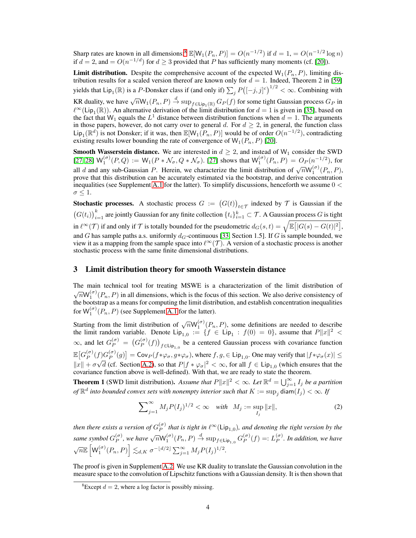Sharp rates are known in all dimensions;<sup>[8](#page-3-0)</sup>  $\mathbb{E}[W_1(P_n, P)] = O(n^{-1/2})$  if  $d = 1$ ,  $= O(n^{-1/2} \log n)$ if  $d = 2$ , and  $= O(n^{-1/d})$  for  $d \ge 3$  provided that P has sufficiently many moments (cf. [\[20\]](#page-10-5)).

**Limit distribution.** Despite the comprehensive account of the expected  $W_1(P_n, P)$ , limiting distribution results for a scaled version thereof are known only for  $d = 1$ . Indeed, Theorem 2 in [\[59\]](#page-12-1) yields that  $\text{Lip}_1(\mathbb{R})$  is a P-Donsker class if (and only if)  $\sum_j P([-j, j]^c)^{1/2} < \infty$ . Combining with

KR duality, we have  $\sqrt{n} \mathsf{W}_1(P_n, P) \stackrel{d}{\to} \sup_{f \in \textsf{Lip}_1(\mathbb{R})} G_P(f)$  for some tight Gaussian process  $G_P$  in  $\ell^{\infty}(\textsf{Lip}_1(\mathbb{R}))$ . An alternative derivation of the limit distribution for  $d=1$  is given in [\[35\]](#page-10-11), based on the fact that  $W_1$  equals the  $L^1$  distance between distribution functions when  $d = 1$ . The arguments in those papers, however, do not carry over to general d. For  $d \geq 2$ , in general, the function class  $\textsf{Lip}_1(\mathbb{R}^d)$  is not Donsker; if it was, then  $\mathbb{E}[W_1(P_n, P)]$  would be of order  $O(n^{-1/2})$ , contradicting existing results lower bounding the rate of convergence of  $W_1(P_n, P)$  [\[20\]](#page-10-5).

**Smooth Wasserstein distance.** We are interested in  $d \geq 2$ , and instead of W<sub>1</sub> consider the SWD [\[27,](#page-10-7) [28\]](#page-10-8)  $W_1^{(\sigma)}(P,Q) := W_1(P * N_{\sigma}, Q * N_{\sigma})$ . [\[27\]](#page-10-7) shows that  $W_1^{(\sigma)}(P_n, P) = O_P(n^{-1/2})$ , for all d and any sub-Gaussian P. Herein, we characterize the limit distribution of  $\sqrt{n}W_1^{(\sigma)}(P_n, P)$ , prove that this distribution can be accurately estimated via the bootstrap, and derive concentration inequalities (see Supplement [A.1](#page--1-0) for the latter). To simplify discussions, henceforth we assume  $0 <$  $\sigma \leq 1$ .

**Stochastic processes.** A stochastic process  $G := (G(t))_{t \in \mathcal{T}}$  indexed by  $\mathcal{T}$  is Gaussian if the  $(G(t_i))_{i=1}^k$  are jointly Gaussian for any finite collection  $\{t_i\}_{i=1}^k \subset \mathcal{T}$ . A Gaussian process G is tight in  $\ell^{\infty}(\mathcal{T})$  if and only if  $\mathcal{T}$  is totally bounded for the pseudometric  $d_G(s,t) = \sqrt{\mathbb{E} [ |G(s) - G(t)|^2 ]}$ , and G has sample paths a.s. uniformly  $d_G$ -continuous [\[33,](#page-10-19) Section 1.5]. If G is sample bounded, we view it as a mapping from the sample space into  $\ell^{\infty}(\mathcal{T})$ . A version of a stochastic process is another stochastic process with the same finite dimensional distributions.

# 3 Limit distribution theory for smooth Wasserstein distance

The main technical tool for treating MSWE is a characterization of the limit distribution of  $\sqrt{n} \mathsf{W}_1^{(\sigma)}(P_n, P)$  in all dimensions, which is the focus of this section. We also derive consistency of the bootstrap as a means for computing the limit distribution, and establish concentration inequalities for  $\mathsf{W}_1^{(\sigma)}(P_n, P)$  (see Supplement [A.1](#page--1-0) for the latter).

Starting from the limit distribution of  $\sqrt{n}W_1^{(\sigma)}(P_n, P)$ , some definitions are needed to describe the limit random variable. Denote  $\text{Lip}_{1,0} := \{ f \in \text{Lip}_1 : f(0) = 0 \}$ , assume that  $P||x||^2 <$  $\infty$ , and let  $G_P^{(\sigma)} = (G_P^{(\sigma)}$  $\binom{(\sigma)}{P}(f)$ <sub>f∈Lip<sub>1,0</sub> be a centered Gaussian process with covariance function</sub>  $\mathbb{E}\big[G_P^{(\sigma)}\big]$  $_P^{(\sigma)}(f)G_P^{(\sigma)}$  $\begin{aligned} \binom{\sigma}{P}(g) \end{aligned} = \text{Cov}_P(f * \varphi_{\sigma}, g * \varphi_{\sigma})$ , where  $f, g \in \text{Lip}_{1,0}$ . One may verify that  $|f * \varphi_{\sigma}(x)| \leq$  $||x|| + \sigma \sqrt{d}$  (cf. Section [A.2\)](#page--1-1), so that  $P|f * \varphi_{\sigma}|^2 < \infty$ , for all  $f \in Lip_{1,0}$  (which ensures that the covariance function above is well-defined). With that, we are ready to state the theorem.

<span id="page-3-2"></span>**Theorem 1** (SWD limit distribution). Assume that  $P||x||^2 < \infty$ . Let  $\mathbb{R}^d = \bigcup_{j=1}^{\infty} I_j$  be a partition *of*  $\mathbb{R}^d$  *into bounded convex sets with nonempty interior such that*  $K := \sup_j \text{diam}(I_j) < \infty$ *. If* 

<span id="page-3-1"></span>
$$
\sum_{j=1}^{\infty} M_j P(I_j)^{1/2} < \infty \quad \text{with} \quad M_j := \sup_{I_j} \|x\|,\tag{2}
$$

*then there exists a version of*  $G_P^{(\sigma)}$  $P_P^{(\sigma)}$  that is tight in  $\ell^{\infty}(\textsf{Lip}_{1,0})$ , and denoting the tight version by the *same symbol*  $G_P^{(\sigma)}$  $\mathcal{L}_P^{(\sigma)}$ , we have  $\sqrt{n} \mathsf{W}_1^{(\sigma)}(P_n, P) \stackrel{d}{\rightarrow} \sup_{f \in \mathsf{Lip}_{1,0}} G_P^{(\sigma)}$  $p^{(\sigma)}(f) =: L_P^{(\sigma)}$ P *. In addition, we have*  $\sqrt{n}\mathbb{E}\left[W_1^{(\sigma)}(P_n,P)\right]\lesssim_{d,K} \sigma^{-\lfloor d/2\rfloor}\sum_{j=1}^\infty M_jP(I_j)^{1/2}.$ 

The proof is given in Supplement [A.2.](#page--1-1) We use KR duality to translate the Gaussian convolution in the measure space to the convolution of Lipschitz functions with a Gaussian density. It is then shown that

<span id="page-3-0"></span><sup>&</sup>lt;sup>8</sup>Except  $d = 2$ , where a log factor is possibly missing.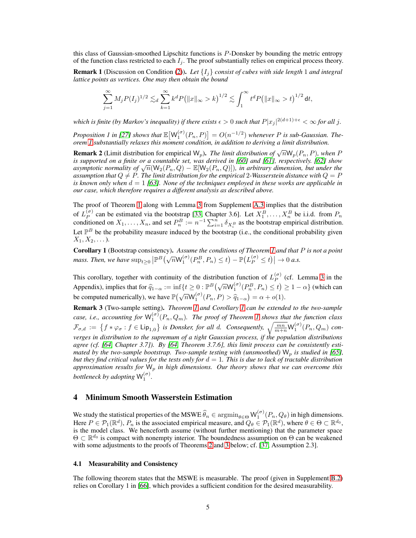this class of Gaussian-smoothed Lipschitz functions is P-Donsker by bounding the metric entropy of the function class restricted to each  $I_i$ . The proof substantially relies on empirical process theory.

Remark 1 (Discussion on Condition [\(2\)](#page-3-1)). *Let* {Ij} *consist of cubes with side length* 1 *and integral lattice points as vertices. One may then obtain the bound*

$$
\sum_{j=1}^{\infty} M_j P(I_j)^{1/2} \lesssim_d \sum_{k=1}^{\infty} k^d P(|x|_{\infty} > k)^{1/2} \lesssim \int_1^{\infty} t^d P(|x|_{\infty} > t)^{1/2} dt,
$$

which is finite (by Markov's inequality) if there exists  $\epsilon > 0$  such that  $P|x_j|^{2(d+1)+\epsilon} < \infty$  for all j.

*Proposition 1 in [\[27\]](#page-10-7) shows that*  $\mathbb{E}[W_1^{(\sigma)}(P_n, P)] = O(n^{-1/2})$  *whenever P is sub-Gaussian. Theorem [1](#page-3-2) substantially relaxes this moment condition, in addition to deriving a limit distribution.*

**Remark 2** (Limit distribution for empirical  $W_p$ ). *The limit distribution of*  $\sqrt{n}W_p(P_n, P)$ , when P *is supported on a finite or a countable set, was derived in [\[60\]](#page-12-2) and [\[61\]](#page-12-3), respectively. [\[62\]](#page-12-4) show*  $a$  *asymptotic normality of*  $\sqrt{n}(W_2(P_n, Q) - \mathbb{E}[W_2(P_n, Q)])$ *, in arbitrary dimension, but under the assumption that*  $Q \neq P$ . The limit distribution for the empirical 2-Wasserstein distance with  $Q = P$ is known only when  $d = 1/63$ *]*. None of the techniques employed in these works are applicable in *our case, which therefore requires a different analysis as described above.*

The proof of Theorem [1](#page-3-2) along with Lemma [3](#page--1-2) from Supplement [A.3](#page--1-3) implies that the distribution of  $L_P^{(\sigma)}$  $P_P^{(\sigma)}$  can be estimated via the bootstrap [\[33,](#page-10-19) Chapter 3.6]. Let  $X_1^B, \ldots, X_n^B$  be i.i.d. from  $P_n$ conditioned on  $X_1, \ldots, X_n$ , and set  $P_n^B := n^{-1} \sum_{i=1}^n \delta_{X_i^B}$  as the bootstrap empirical distribution. Let  $\mathbb{P}^B$  be the probability measure induced by the bootstrap (i.e., the conditional probability given  $X_1, X_2, \ldots$ ).

<span id="page-4-0"></span>Corollary 1 (Bootstrap consistency). *Assume the conditions of Theorem [1](#page-3-2) and that* P *is not a point mass. Then, we have*  $\sup_{t\geq 0} \left| \mathbb{P}^B(\sqrt{n} \mathsf{W}_1^{(\sigma)}(P_n^B, P_n) \leq t) - \mathbb{P}(L_P^{(\sigma)} \leq t) \right| \to 0$  *a.s.* 

This corollary, together with continuity of the distribution function of  $L_p^{(\sigma)}$  $P^{(\sigma)}$  (cf. Lemma [3](#page--1-2) in the Appendix), implies that for  $\hat{q}_{1-\alpha} := \inf \{ t \geq 0 : \mathbb{P}^B(\sqrt{n} \mathsf{W}_1^{(\sigma)}(P_n^B, P_n) \leq t \} \geq 1 - \alpha \}$  (which can be computed numerically), we have  $\mathbb{P}(\sqrt{n}W_1^{(\sigma)}(P_n, P) > \hat{q}_{1-\alpha}) = \alpha + o(1)$ .

Remark 3 (Two-sample setting). *Theorem [1](#page-3-2) and Corollary [1](#page-4-0) can be extended to the two-sample* case, i.e., accounting for  $W_1^{(\sigma)}(P_n, Q_m)$ . The proof of Theorem [1](#page-3-2) shows that the function class  $\mathcal{F}_{\sigma,d}$  :  $f \in \text{Lip}_{1,0}$  *is Donsker, for all d. Consequently,*  $\sqrt{\frac{mn}{m+n}} \mathsf{W}_1^{(\sigma)}(P_n, Q_m)$  *converges in distribution to the supremum of a tight Gaussian process, if the population distributions agree (cf. [\[64,](#page-12-6) Chapter 3.7]). By [\[64,](#page-12-6) Theorem 3.7.6], this limit process can be consistently estimated by the two-sample bootstrap. Two-sample testing with (unsmoothed)*  $W_p$  *is studied in* [\[65\]](#page-12-7)*, but they find critical values for the tests only for*  $d = 1$ *. This is due to lack of tractable distribution approximation results for*  $W_p$  *in high dimensions. Our theory shows that we can overcome this bottleneck by adopting*  $W_1^{(\sigma)}$ .

# 4 Minimum Smooth Wasserstein Estimation

We study the statistical properties of the MSWE  $\widehat{\theta}_n \in \operatorname{argmin}_{\theta \in \Theta} W_1^{(\sigma)}(P_n, Q_\theta)$  in high dimensions. Here  $P \in \mathcal{P}_1(\mathbb{R}^d)$ ,  $P_n$  is the associated empirical measure, and  $Q_\theta \in \mathcal{P}_1(\mathbb{R}^d)$ , where  $\theta \in \Theta \subset \mathbb{R}^{d_0}$ , is the model class. We henceforth assume (without further mentioning) that the parameter space  $\Theta \subset \mathbb{R}^{d_0}$  is compact with nonempty interior. The boundedness assumption on  $\Theta$  can be weakened with some adjustments to the proofs of Theorems [2](#page-5-0) and [3](#page-5-1) below; cf. [\[37,](#page-11-0) Assumption 2.3].

#### 4.1 Measurability and Consistency

The following theorem states that the MSWE is measurable. The proof (given in Supplement [B.2\)](#page--1-4) relies on Corollary 1 in [\[66\]](#page-12-8), which provides a sufficient condition for the desired measurability.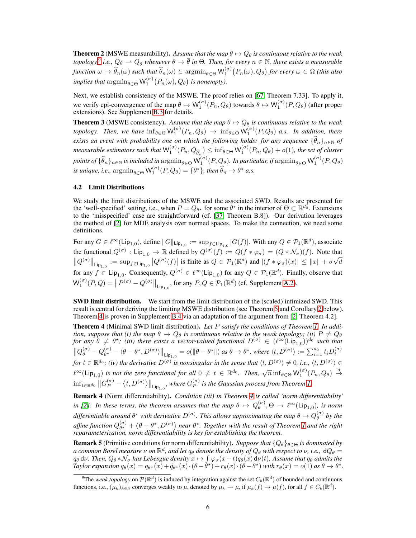<span id="page-5-0"></span>**Theorem 2** (MSWE measurability). Assume that the map  $\theta \mapsto Q_{\theta}$  is continuous relative to the weak *topology,*<sup>[9](#page-5-2)</sup> *i.e.,*  $Q_\theta \rightharpoonup Q_{\overline{\theta}}$  whenever  $\theta \to \overline{\theta}$  in  $\Theta$ . Then, for every  $n \in \mathbb{N}$ , there exists a measurable  $f$ *unction*  $\omega \mapsto \widehat{\theta}_n(\omega)$  *such that*  $\widehat{\theta}_n(\omega) \in \operatorname{argmin}_{\theta \in \Theta} \mathsf{W}_1^{(\sigma)}(P_n(\omega), Q_\theta)$  for every  $\omega \in \Omega$  *(this also implies that*  $\mathrm{argmin}_{\theta \in \Theta} \mathsf{W}_1^{(\sigma)}(P_n(\omega), Q_\theta)$  *is nonempty*).

Next, we establish consistency of the MSWE. The proof relies on [\[67,](#page-12-9) Theorem 7.33]. To apply it, we verify epi-convergence of the map  $\theta \mapsto W_1^{(\sigma)}(P_n, Q_\theta)$  towards  $\theta \mapsto W_1^{(\sigma)}(P, Q_\theta)$  (after proper extensions). See Supplement [B.3](#page--1-5) for details.

<span id="page-5-1"></span>**Theorem 3** (MSWE consistency). Assume that the map  $\theta \mapsto Q_{\theta}$  is continuous relative to the weak *topology. Then, we have*  $\inf_{\theta \in \Theta} W_1^{(\sigma)}(P_n, Q_\theta) \to \inf_{\theta \in \Theta} W_1^{(\sigma)}(P, Q_\theta)$  *a.s. In addition, there exists an event with probability one on which the following holds: for any sequence*  $\{\widehat{\theta}_n\}_{n\in\mathbb{N}}$  *of*  $measurable$  estimators such that  $\mathsf{W}_1^{(\sigma)}(P_n,Q_{\widehat{\theta}_n}) \leq \inf_{\theta \in \Theta} \mathsf{W}_1^{(\sigma)}(P_n,Q_\theta) + o(1)$ , the set of cluster  $points$  of  $\{\widehat{\theta}_n\}_{n\in\mathbb{N}}$  *is included in*  $\mathrm{argmin}_{\theta\in\Theta}$   $\mathsf{W}_1^{(\sigma)}(P,Q_\theta).$  In particular, if  $\mathrm{argmin}_{\theta\in\Theta}$   $\mathsf{W}_1^{(\sigma)}(P,Q_\theta)$ *is unique, i.e.,*  $\mathrm{argmin}_{\theta \in \Theta} \mathsf{W}_1^{(\sigma)}(P, Q_\theta) = \{\theta^{\star}\}\text{, then } \widehat{\theta}_n \to \theta^{\star} \text{ a.s.}$ 

# 4.2 Limit Distributions

We study the limit distributions of the MSWE and the associated SWD. Results are presented for the 'well-specified' setting, i.e., when  $P = Q_{\theta^*}$  for some  $\theta^*$  in the interior of  $\Theta \subset \mathbb{R}^{d_0}$ . Extensions to the 'misspecified' case are straightforward (cf. [\[37,](#page-11-0) Theorem B.8]). Our derivation leverages the method of [\[2\]](#page-9-9) for MDE analysis over normed spaces. To make the connection, we need some definitions.

For any  $G \in \ell^{\infty}(\text{Lip}_{1,0})$ , define  $||G||_{\text{Lip}_{1,0}} := \sup_{f \in \text{Lip}_{1,0}} |G(f)|$ . With any  $Q \in \mathcal{P}_1(\mathbb{R}^d)$ , associate the functional  $Q^{(\sigma)}$ : Lip<sub>1,0</sub>  $\to \mathbb{R}$  defined by  $Q^{(\sigma)}(f) := Q(f * \varphi_{\sigma}) = (Q * \mathcal{N}_{\sigma})(f)$ . Note that  $||Q^{(\sigma)}||_{\text{Lip}_{1,0}} := \sup_{f \in \text{Lip}_{1,0}} |Q^{(\sigma)}(f)|$  is finite as  $Q \in \mathcal{P}_1(\mathbb{R}^d)$  and  $|(f * \varphi_{\sigma})(x)| \leq ||x|| + \sigma \sqrt{d}$ for any  $f \in \text{Lip}_{1,0}$ . Consequently,  $Q^{(\sigma)} \in \ell^{\infty}(\text{Lip}_{1,0})$  for any  $Q \in \mathcal{P}_1(\mathbb{R}^d)$ . Finally, observe that  $\mathsf{W}_1^{(\sigma)}(P,Q) = ||P^{(\sigma)} - Q^{(\sigma)}||_{\mathsf{Lip}_{1,0}},$  for any  $P,Q \in \mathcal{P}_1(\mathbb{R}^d)$  (cf. Supplement [A.2\)](#page--1-1).

SWD limit distribution. We start from the limit distribution of the (scaled) infimized SWD. This result is central for deriving the limiting MSWE distribution (see Theorem [5](#page-6-0) and Corollary [2](#page-6-1) below). Theorem [4](#page-5-3) is proven in Supplement [B.4](#page--1-6) via an adaptation of the argument from [\[2,](#page-9-9) Theorem 4.2].

<span id="page-5-3"></span>Theorem 4 (Minimal SWD limit distribution). *Let* P *satisfy the conditions of Theorem [1.](#page-3-2) In addition, suppose that (i) the map*  $\theta \mapsto Q_{\theta}$  *is continuous relative to the weak topology; (ii)*  $P \neq Q_{\theta}$ *for any*  $\theta \neq \theta^*$ ; (iii) there exists a vector-valued functional  $D^{(\sigma)} \in (\ell^{\infty}(\text{Lip}_{1,0}))^{d_0}$  such that  $||Q_{\theta}^{(\sigma)} - Q_{\theta^{\star}}^{(\sigma)}||$  $\begin{aligned} \Psi^{(\sigma)}_{\theta^{\star}}-\langle\theta-\theta^{\star},D^{(\sigma)}\rangle\Vert_{\mathsf{Lip}_{1,0}}&=o(\|\theta-\theta^{\star}\|)\text{ as }\theta\rightarrow\theta^{\star}\text{, where }\langle t,D^{(\sigma)}\rangle:=\sum_{i=1}^{d_{0}}t_{i}D^{(\sigma)}_{i}\rangle. \end{aligned}$ *for*  $t \in \mathbb{R}^{d_0}$ ; *(iv)* the derivative  $D^{(\sigma)}$  is nonsingular in the sense that  $\langle t, D^{(\sigma)} \rangle \neq 0$ , i.e.,  $\langle t, D^{(\sigma)} \rangle \in$  $\ell^{\infty}(\textsf{Lip}_{1,0})$  is not the zero functional for all  $0 \neq t \in \mathbb{R}^{d_0}$ . Then,  $\sqrt{n} \inf_{\theta \in \Theta} W_1^{(\sigma)}(P_n, Q_\theta) \stackrel{d}{\rightarrow}$  $\inf_{t\in \mathbb{R}^{d_0}}\left\|G_P^{(\sigma)}-\left\langle t,D^{(\sigma)}\right\rangle\right\|_{\mathsf{Lip}_{1,0}},$  where  $G_P^{(\sigma)}$ P *is the Gaussian process from Theorem [1.](#page-3-2)*

Remark 4 (Norm differentiability). *Condition (iii) in Theorem [4](#page-5-3) is called 'norm differentiability' in [\[2\]](#page-9-9).* In these terms, the theorem assumes that the map  $\theta \mapsto Q_{\theta}^{(\sigma)}$  $\int_{\theta}^{(\sigma)} \phi(\sigma) \to \ell^{\infty}(\text{Lip}_{1,0}),$  is norm differentiable around  $\theta^*$  with derivative  $D^{(\sigma)}$ . This allows approximating the map  $\theta \mapsto Q^{(\sigma)}_\theta$ θ *by the* affine function  $Q_{\theta^{\star}}^{(\sigma)}$  $\begin{bmatrix} \sigma \\ \theta^* \end{bmatrix} + \left\langle \theta - \theta^*, D^{(\sigma)} \right\rangle$  near  $\theta^*$ . Together with the result of Theorem [1](#page-3-2) and the right *reparameterization, norm differentiability is key for establishing the theorem.*

**Remark 5** (Primitive conditions for norm differentiability). *Suppose that*  $\{Q_\theta\}_{\theta \in \Theta}$  *is dominated by* a common Borel measure  $\nu$  on  $\mathbb{R}^d$ , and let  $q_\theta$  denote the density of  $Q_\theta$  with respect to  $\nu$ , i.e.,  $\,\mathrm{d} Q_\theta =$  $q_{\theta}$  d*v*. Then,  $Q_{\theta} * \mathcal{N}_{\sigma}$  has Lebesgue density  $x \mapsto \int_{\Theta} \varphi_{\sigma}(x-t) q_{\theta}(x) d\mu(t)$ . Assume that  $q_{\theta}$  admits the *Taylor expansion*  $q_{\theta}(x) = q_{\theta^*}(x) + \dot{q}_{\theta^*}(x) \cdot (\theta - \dot{\theta}^*) + r_{\theta}(x) \cdot (\theta - \theta^*)$  *with*  $r_{\theta}(x) = o(1)$  *as*  $\theta \to \theta^*$ .

<span id="page-5-2"></span><sup>&</sup>lt;sup>9</sup>The *weak topology* on  $P(\mathbb{R}^d)$  is induced by integration against the set  $C_b(\mathbb{R}^d)$  of bounded and continuous functions, i.e.,  $(\mu_k)_{k \in \mathbb{N}}$  converges weakly to  $\mu$ , denoted by  $\mu_k \to \mu$ , if  $\mu_k(f) \to \mu(f)$ , for all  $f \in C_b(\mathbb{R}^d)$ .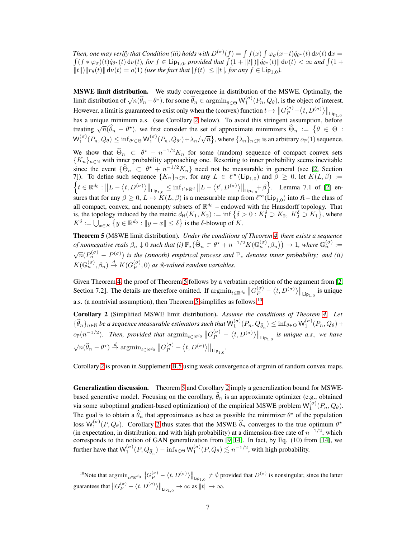*Then, one may verify that Condition (iii) holds with*  $D^{(\sigma)}(f) = \int f(x) \int \varphi_{\sigma}(x-t) \dot{q}_{\theta^{\star}}(t) d\nu(t) dx =$ <br> $\int (f * \varphi_{\sigma})(t) \dot{q}_{\theta^{\star}}(t) d\nu(t)$ , for  $f \in \text{Lip}_{1,0}$ , provided that  $\int (1 + ||t||) ||\dot{q}_{\theta^{\star}}(t)|| d\nu(t) < \infty$  and  $\int ($  $(f * \varphi_{\sigma})(t) \dot{q}_{\theta^{\star}}(t) d\nu(t)$ , for  $f \in \text{Lip}_{1,0}$ , provided that  $\int (1 + ||t||) ||\dot{q}_{\theta^{\star}}(t)|| d\nu(t) < \infty$  and  $\int (1 +$  $||t|| \, ||r_{\theta}(t)|| \, \mathrm{d}\nu(t) = o(1)$  *(use the fact that*  $|f(t)| \leq ||t||$ *, for any*  $f \in \text{Lip}_{1,0}$ *).* 

MSWE limit distribution. We study convergence in distribution of the MSWE. Optimally, the limit distribution of  $\sqrt{n}(\hat{\theta}_n - \theta^*)$ , for some  $\hat{\theta}_n \in \operatorname{argmin}_{\theta \in \Theta} \mathsf{W}^{(\sigma)}_1(P_n, Q_\theta)$ , is the object of interest. 1 However, a limit is guaranteed to exist only when the (convex) function  $t \mapsto \left\|G_P^{(\sigma)} - \langle t, D^{(\sigma)} \rangle\right\|_{\mathsf{Lip}_{1,0}}$ has a unique minimum a.s. (see Corollary [2](#page-6-1) below). To avoid this stringent assumption, before treating  $\sqrt{n}(\hat{\theta}_n - \theta^*)$ , we first consider the set of approximate minimizers  $\hat{\Theta}_n := \{ \theta \in \Theta :$  $\mathsf{W}_1^{(\sigma)}(P_n, Q_\theta) \leq \inf_{\theta' \in \Theta} \mathsf{W}_1^{(\sigma)}(P_n, Q_{\theta'}) + \lambda_n/\sqrt{n} \},$  where  $\{\lambda_n\}_{n \in \mathbb{N}}$  is an arbitrary  $o_\mathbb{P}(1)$  sequence.

We show that  $\Theta_n \subset \theta^* + n^{-1/2} K_n$  for some (random) sequence of compact convex sets  ${K_n}_{n \in \mathbb{N}}$  with inner probability approaching one. Resorting to inner probability seems inevitable since the event  $\{\Theta_n \subset \theta^* + n^{-1/2}K_n\}$  need not be measurable in general (see [\[2,](#page-9-9) Section 7]). To define such sequence  $\{K_n\}_{n\in\mathbb{N}}$ , for any  $L \in \ell^{\infty}(\text{Lip}_{1,0})$  and  $\beta \geq 0$ , let  $K(L,\beta) :=$  $\Big\{t\in\mathbb{R}^{d_0}: \big\|L-\big\langle t,D^{(\sigma)}\big\rangle\big\|_{\mathsf{Lip}_{1,0}}\leq \inf_{t'\in\mathbb{R}^d}\big\|L-\big\langle t',D^{(\sigma)}\big\rangle\big\|_{\mathsf{Lip}_{1,0}}+\beta\Big\}.$  Lemma 7.1 of [\[2\]](#page-9-9) ensures that for any  $\beta \geq 0$ ,  $L \mapsto K(L, \beta)$  is a measurable map from  $\ell^{\infty}(\text{Lip}_{1,0})$  into  $\mathfrak{K}$  – the class of all compact, convex, and nonempty subsets of  $\mathbb{R}^{d_0}$  – endowed with the Hausdorff topology. That is, the topology induced by the metric  $d_H(K_1, K_2) := \inf \{ \delta > 0 : K_1^{\delta} \supset K_2, K_2^{\delta} \supset K_1 \}$ , where  $K^{\delta} := \bigcup_{x \in K} \{ y \in \mathbb{R}^{d_0} : ||y - x|| \leq \delta \}$  is the  $\delta$ -blowup of  $K$ .

<span id="page-6-0"></span>Theorem 5 (MSWE limit distribution). *Under the conditions of Theorem [4,](#page-5-3) there exists a sequence of nonnegative reals*  $\beta_n \downarrow 0$  *such that (i)*  $\mathbb{P}_*(\widehat{\Theta}_n \subset \theta^* + n^{-1/2}K(\mathbb{G}_n^{(\sigma)}, \beta_n)) \to 1$ *, where*  $\mathbb{G}_n^{(\sigma)} :=$  $\sqrt{n}(P_n^{(\sigma)} - P^{(\sigma)})$  *is the (smooth) empirical process and*  $\mathbb{P}_*$  *denotes inner probability; and (ii)*  $K(\mathbb{G}_n^{(\sigma)}, \beta_n) \stackrel{d}{\rightarrow} K(G_P^{(\sigma)})$  $_{P}^{(\sigma)}$ , 0) *as*  $\Re$ -valued random variables.

Given Theorem [4,](#page-5-3) the proof of Theorem [5](#page-6-0) follows by a verbatim repetition of the argument from [\[2,](#page-9-9) Section 7.2]. The details are therefore omitted. If  $\operatorname{argmin}_{t \in \mathbb{R}^{d_0}} ||G_P^{(\sigma)} - \langle t, D^{(\sigma)} \rangle||_{\text{Lip}_{1,0}}$  is unique a.s. (a nontrivial assumption), then Theorem [5](#page-6-0) simplifies as follows.[10](#page-6-2)

<span id="page-6-1"></span>Corollary 2 (Simplified MSWE limit distribution). *Assume the conditions of Theorem [4.](#page-5-3) Let*  $\{\widehat{\theta}_n\}_{n\in\mathbb{N}}$  be a sequence measurable estimators such that  $\mathsf{W}_1^{(\sigma)}(P_n,Q_{\widehat{\theta}_n})\leq \inf_{\theta\in\Theta} \mathsf{W}_1^{(\sigma)}(P_n,Q_\theta)+$  $o_{\mathbb{P}}(n^{-1/2})$ . Then, provided that  $\operatorname{argmin}_{t \in \mathbb{R}^{d_0}} ||G_P^{(\sigma)} - \langle t, D^{(\sigma)} \rangle||_{\mathsf{Lip}_{1,0}}$  is unique a.s., we have  $\sqrt{n}(\widehat{\theta}_n - \theta^{\star}) \stackrel{d}{\to} \operatorname{argmin}_{t \in \mathbb{R}^{d_0}} ||G_P^{(\sigma)} - \langle t, D^{(\sigma)} \rangle||_{\mathsf{Lip}_{1,0}}.$ 

Corollary [2](#page-6-1) is proven in Supplement [B.5](#page--1-7) using weak convergence of argmin of random convex maps.

Generalization discussion. Theorem [5](#page-6-0) and Corollary [2](#page-6-1) imply a generalization bound for MSWEbased generative model. Focusing on the corollary,  $\hat{\theta}_n$  is an approximate optimizer (e.g., obtained via some suboptimal gradient-based optimization) of the empirical MSWE problem  $W_1^{(\sigma)}(P_n, Q_\theta)$ . The goal is to obtain a  $\hat{\theta}_n$  that approximates as best as possible the minimizer  $\theta^*$  of the population loss  $W_1^{(\sigma)}(P,Q_\theta)$ . Corollary [2](#page-6-1) thus states that the MSWE  $\widehat{\theta}_n$  converges to the true optimum  $\theta^*$ (in expectation, in distribution, and with high probability) at a dimension-free rate of  $n^{-1/2}$ , which corresponds to the notion of GAN generalization from [\[9,](#page-9-6) [14\]](#page-9-7). In fact, by Eq. (10) from [\[14\]](#page-9-7), we further have that  $\mathsf{W}_1^{(\sigma)}(P,Q_{\widehat{\theta}_n}) - \inf_{\theta \in \Theta} \mathsf{W}_1^{(\sigma)}(P,Q_{\theta}) \lesssim n^{-1/2}$ , with high probability.

<span id="page-6-2"></span><sup>&</sup>lt;sup>10</sup>Note that  $\operatorname{argmin}_{t \in \mathbb{R}^{d_0}} ||G_P^{(\sigma)} - \langle t, D^{(\sigma)} \rangle||_{\text{Lip}_{1,0}} \neq \emptyset$  provided that  $D^{(\sigma)}$  is nonsingular, since the latter guarantees that  $||G_P^{(\sigma)} - \langle t, D^{(\sigma)} \rangle||_{\text{Lip}_{1,0}} \to \infty$  as  $||t|| \to \infty$ .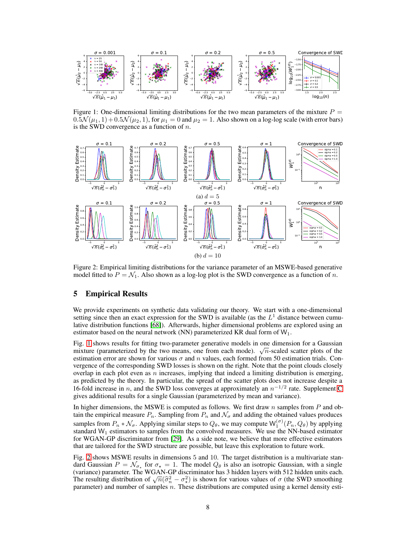<span id="page-7-0"></span>

Figure 1: One-dimensional limiting distributions for the two mean parameters of the mixture  $P =$  $0.5\mathcal{N}(\mu_1, 1) + 0.5\mathcal{N}(\mu_2, 1)$ , for  $\mu_1 = 0$  and  $\mu_2 = 1$ . Also shown on a log-log scale (with error bars) is the SWD convergence as a function of  $n$ .

<span id="page-7-1"></span>

Figure 2: Empirical limiting distributions for the variance parameter of an MSWE-based generative model fitted to  $P = \mathcal{N}_1$ . Also shown as a log-log plot is the SWD convergence as a function of n.

# 5 Empirical Results

We provide experiments on synthetic data validating our theory. We start with a one-dimensional setting since then an exact expression for the SWD is available (as the  $L<sup>1</sup>$  distance between cumulative distribution functions [\[68\]](#page-12-10)). Afterwards, higher dimensional problems are explored using an estimator based on the neural network (NN) parameterized KR dual form of  $W_1$ .

Fig. [1](#page-7-0) shows results for fitting two-parameter generative models in one dimension for a Gaussian mixture (parameterized by the two means, one from each mode).  $\sqrt{n}$ -scaled scatter plots of the estimation error are shown for various  $\sigma$  and n values, each formed from 50 estimation trials. Convergence of the corresponding SWD losses is shown on the right. Note that the point clouds closely overlap in each plot even as  $n$  increases, implying that indeed a limiting distribution is emerging, as predicted by the theory. In particular, the spread of the scatter plots does not increase despite a 16-fold increase in *n*, and the SWD loss converges at approximately an  $n^{-1/2}$  rate. Supplement [C](#page--1-8) gives additional results for a single Gaussian (parameterized by mean and variance).

In higher dimensions, the MSWE is computed as follows. We first draw  $n$  samples from  $P$  and obtain the empirical measure  $P_n$ . Sampling from  $P_n$  and  $\mathcal{N}_{\sigma}$  and adding the obtained values produces samples from  $P_n * \mathcal{N}_{\sigma}$ . Applying similar steps to  $Q_{\theta}$ , we may compute  $\mathsf{W}_1^{(\sigma)}(P_n, Q_{\theta})$  by applying standard  $W_1$  estimators to samples from the convolved measures. We use the NN-based estimator for WGAN-GP discriminator from [\[29\]](#page-10-9). As a side note, we believe that more effective estimators that are tailored for the SWD structure are possible, but leave this exploration to future work.

Fig. [2](#page-7-1) shows MSWE results in dimensions 5 and 10. The target distribution is a multivariate standard Gaussian  $P = \mathcal{N}_{\sigma_{\star}}$  for  $\sigma_{\star} = 1$ . The model  $Q_{\theta}$  is also an isotropic Gaussian, with a single (variance) parameter. The WGAN-GP discriminator has 3 hidden layers with 512 hidden units each. The resulting distribution of  $\sqrt{n}(\hat{\sigma}_n^2 - \sigma_x^2)$  is shown for various values of  $\sigma$  (the SWD smoothing distribution of  $\sqrt{n}(\hat{\sigma}_n^2 - \sigma_x^2)$ ) is shown for various values of  $\sigma$  (the SWD smoothing presented using a ke parameter) and number of samples  $n$ . These distributions are computed using a kernel density esti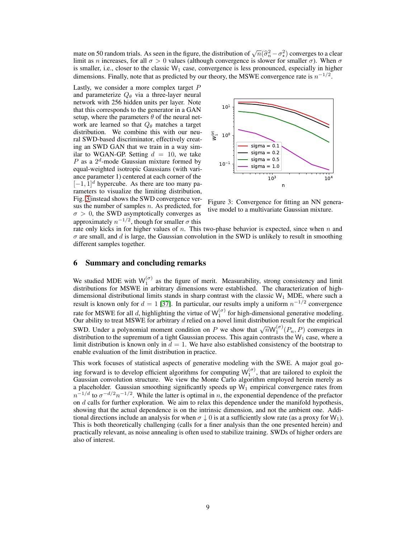mate on 50 random trials. As seen in the figure, the distribution of  $\sqrt{n}(\hat{\sigma}_n^2 - \sigma_x^2)$  converges to a clear<br>limit as a increased for all  $\tau > 0$  values (elthough convergence) is along for smaller  $\tau$ ). When  $\tau$ limit as n increases, for all  $\sigma > 0$  values (although convergence is slower for smaller  $\sigma$ ). When  $\sigma$ is smaller, i.e., closer to the classic  $W_1$  case, convergence is less pronounced, especially in higher dimensions. Finally, note that as predicted by our theory, the MSWE convergence rate is  $n^{-1/2}$ .

Lastly, we consider a more complex target P and parameterize  $Q_{\theta}$  via a three-layer neural network with 256 hidden units per layer. Note that this corresponds to the generator in a GAN setup, where the parameters  $\theta$  of the neural network are learned so that  $Q_{\theta}$  matches a target distribution. We combine this with our neural SWD-based discriminator, effectively creating an SWD GAN that we train in a way similar to WGAN-GP. Setting  $d = 10$ , we take  $P$  as a  $2^d$ -mode Gaussian mixture formed by equal-weighted isotropic Gaussians (with variance parameter 1) centered at each corner of the  $[-1, 1]$ <sup>d</sup> hypercube. As there are too many parameters to visualize the limiting distribution, Fig. [3](#page-8-1) instead shows the SWD convergence versus the number of samples  $n$ . As predicted, for  $\sigma > 0$ , the SWD asymptotically converges as approximately  $n^{-1/2}$ , though for smaller  $\sigma$  this

<span id="page-8-1"></span>

Figure 3: Convergence for fitting an NN generative model to a multivariate Gaussian mixture.

rate only kicks in for higher values of  $n$ . This two-phase behavior is expected, since when  $n$  and  $\sigma$  are small, and d is large, the Gaussian convolution in the SWD is unlikely to result in smoothing different samples together.

# <span id="page-8-0"></span>6 Summary and concluding remarks

We studied MDE with  $W_1^{(\sigma)}$  as the figure of merit. Measurability, strong consistency and limit distributions for MSWE in arbitrary dimensions were established. The characterization of highdimensional distributional limits stands in sharp contrast with the classic  $W_1$  MDE, where such a result is known only for  $d = 1$  [\[37\]](#page-11-0). In particular, our results imply a uniform  $n^{-1/2}$  convergence rate for MSWE for all d, highlighting the virtue of  $W_1^{(\sigma)}$  for high-dimensional generative modeling. Our ability to treat MSWE for arbitrary  $d$  relied on a novel limit distribution result for the empirical SWD. Under a polynomial moment condition on P we show that  $\sqrt{n} \mathsf{W}_1^{(\sigma)}(P_n, P)$  converges in distribution to the supremum of a tight Gaussian process. This again contrasts the  $W_1$  case, where a limit distribution is known only in  $d = 1$ . We have also established consistency of the bootstrap to enable evaluation of the limit distribution in practice.

This work focuses of statistical aspects of generative modeling with the SWE. A major goal going forward is to develop efficient algorithms for computing  $W_1^{(\sigma)}$ , that are tailored to exploit the Gaussian convolution structure. We view the Monte Carlo algorithm employed herein merely as a placeholder. Gaussian smoothing significantly speeds up  $W_1$  empirical convergence rates from  $n^{-1/d}$  to  $\sigma^{-d/2}n^{-1/2}$ . While the latter is optimal in n, the exponential dependence of the prefactor on  $d$  calls for further exploration. We aim to relax this dependence under the manifold hypothesis, showing that the actual dependence is on the intrinsic dimension, and not the ambient one. Additional directions include an analysis for when  $\sigma \downarrow 0$  is at a sufficiently slow rate (as a proxy for  $W_1$ ). This is both theoretically challenging (calls for a finer analysis than the one presented herein) and practically relevant, as noise annealing is often used to stabilize training. SWDs of higher orders are also of interest.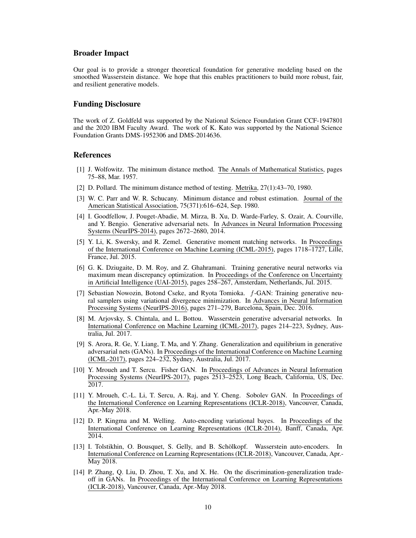# Broader Impact

Our goal is to provide a stronger theoretical foundation for generative modeling based on the smoothed Wasserstein distance. We hope that this enables practitioners to build more robust, fair, and resilient generative models.

# Funding Disclosure

The work of Z. Goldfeld was supported by the National Science Foundation Grant CCF-1947801 and the 2020 IBM Faculty Award. The work of K. Kato was supported by the National Science Foundation Grants DMS-1952306 and DMS-2014636.

# <span id="page-9-0"></span>References

- <span id="page-9-9"></span>[1] J. Wolfowitz. The minimum distance method. The Annals of Mathematical Statistics, pages 75–88, Mar. 1957.
- <span id="page-9-1"></span>[2] D. Pollard. The minimum distance method of testing. Metrika, 27(1):43–70, 1980.
- [3] W. C. Parr and W. R. Schucany. Minimum distance and robust estimation. Journal of the American Statistical Association, 75(371):616–624, Sep. 1980.
- <span id="page-9-2"></span>[4] I. Goodfellow, J. Pouget-Abadie, M. Mirza, B. Xu, D. Warde-Farley, S. Ozair, A. Courville, and Y. Bengio. Generative adversarial nets. In Advances in Neural Information Processing Systems (NeurIPS-2014), pages 2672–2680, 2014.
- [5] Y. Li, K. Swersky, and R. Zemel. Generative moment matching networks. In Proceedings of the International Conference on Machine Learning (ICML-2015), pages 1718–1727, Lille, France, Jul. 2015.
- [6] G. K. Dziugaite, D. M. Roy, and Z. Ghahramani. Training generative neural networks via maximum mean discrepancy optimization. In Proceedings of the Conference on Uncertainty in Artificial Intelligence (UAI-2015), pages 258–267, Amsterdam, Netherlands, Jul. 2015.
- [7] Sebastian Nowozin, Botond Cseke, and Ryota Tomioka. f-GAN: Training generative neural samplers using variational divergence minimization. In Advances in Neural Information Processing Systems (NeurIPS-2016), pages 271–279, Barcelona, Spain, Dec. 2016.
- <span id="page-9-8"></span>[8] M. Arjovsky, S. Chintala, and L. Bottou. Wasserstein generative adversarial networks. In International Conference on Machine Learning (ICML-2017), pages 214–223, Sydney, Australia, Jul. 2017.
- <span id="page-9-6"></span>[9] S. Arora, R. Ge, Y. Liang, T. Ma, and Y. Zhang. Generalization and equilibrium in generative adversarial nets (GANs). In Proceedings of the International Conference on Machine Learning (ICML-2017), pages 224–232, Sydney, Australia, Jul. 2017.
- [10] Y. Mroueh and T. Sercu. Fisher GAN. In Proceedings of Advances in Neural Information Processing Systems (NeurIPS-2017), pages 2513–2523, Long Beach, California, US, Dec. 2017.
- <span id="page-9-3"></span>[11] Y. Mroueh, C.-L. Li, T. Sercu, A. Raj, and Y. Cheng. Sobolev GAN. In Proceedings of the International Conference on Learning Representations (ICLR-2018), Vancouver, Canada, Apr.-May 2018.
- <span id="page-9-4"></span>[12] D. P. Kingma and M. Welling. Auto-encoding variational bayes. In Proceedings of the International Conference on Learning Representations (ICLR-2014), Banff, Canada, Apr. 2014.
- <span id="page-9-5"></span>[13] I. Tolstikhin, O. Bousquet, S. Gelly, and B. Schölkopf. Wasserstein auto-encoders. In International Conference on Learning Representations (ICLR-2018), Vancouver, Canada, Apr.- May 2018.
- <span id="page-9-7"></span>[14] P. Zhang, Q. Liu, D. Zhou, T. Xu, and X. He. On the discrimination-generalization tradeoff in GANs. In Proceedings of the International Conference on Learning Representations (ICLR-2018), Vancouver, Canada, Apr.-May 2018.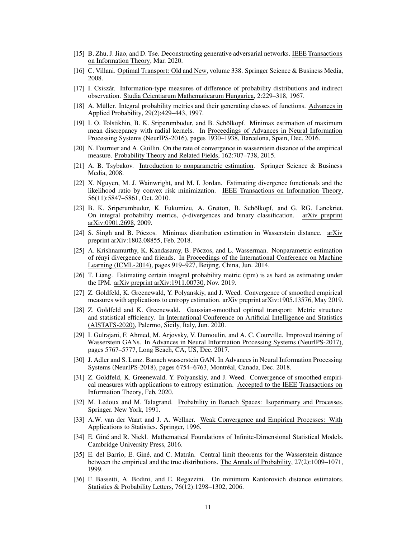- <span id="page-10-0"></span>[15] B. Zhu, J. Jiao, and D. Tse. Deconstructing generative adversarial networks. IEEE Transactions on Information Theory, Mar. 2020.
- <span id="page-10-2"></span><span id="page-10-1"></span>[16] C. Villani. Optimal Transport: Old and New, volume 338. Springer Science & Business Media, 2008.
- [17] I. Csiszár. Information-type measures of difference of probability distributions and indirect observation. Studia Ccientiarum Mathematicarum Hungarica, 2:229–318, 1967.
- <span id="page-10-3"></span>[18] A. Müller. Integral probability metrics and their generating classes of functions. Advances in Applied Probability, 29(2):429–443, 1997.
- <span id="page-10-4"></span>[19] I. O. Tolstikhin, B. K. Sriperumbudur, and B. Schölkopf. Minimax estimation of maximum mean discrepancy with radial kernels. In Proceedings of Advances in Neural Information Processing Systems (NeurIPS-2016), pages 1930–1938, Barcelona, Spain, Dec. 2016.
- <span id="page-10-5"></span>[20] N. Fournier and A. Guillin. On the rate of convergence in wasserstein distance of the empirical measure. Probability Theory and Related Fields, 162:707–738, 2015.
- [21] A. B. Tsybakov. Introduction to nonparametric estimation. Springer Science & Business Media, 2008.
- [22] X. Nguyen, M. J. Wainwright, and M. I. Jordan. Estimating divergence functionals and the likelihood ratio by convex risk minimization. IEEE Transactions on Information Theory, 56(11):5847–5861, Oct. 2010.
- <span id="page-10-6"></span>[23] B. K. Sriperumbudur, K. Fukumizu, A. Gretton, B. Schölkopf, and G. RG. Lanckriet. On integral probability metrics,  $\phi$ -divergences and binary classification. arXiv preprint arXiv:0901.2698, 2009.
- <span id="page-10-13"></span>[24] S. Singh and B. Póczos. Minimax distribution estimation in Wasserstein distance. arXiv preprint arXiv:1802.08855, Feb. 2018.
- <span id="page-10-14"></span>[25] A. Krishnamurthy, K. Kandasamy, B. Póczos, and L. Wasserman. Nonparametric estimation of rényi divergence and friends. In Proceedings of the International Conference on Machine Learning (ICML-2014), pages 919–927, Beijing, China, Jun. 2014.
- <span id="page-10-15"></span>[26] T. Liang. Estimating certain integral probability metric (ipm) is as hard as estimating under the IPM. arXiv preprint arXiv:1911.00730, Nov. 2019.
- <span id="page-10-7"></span>[27] Z. Goldfeld, K. Greenewald, Y. Polyanskiy, and J. Weed. Convergence of smoothed empirical measures with applications to entropy estimation. arXiv preprint arXiv:1905.13576, May 2019.
- <span id="page-10-8"></span>[28] Z. Goldfeld and K. Greenewald. Gaussian-smoothed optimal transport: Metric structure and statistical efficiency. In International Conference on Artificial Intelligence and Statistics (AISTATS-2020), Palermo, Sicily, Italy, Jun. 2020.
- <span id="page-10-9"></span>[29] I. Gulrajani, F. Ahmed, M. Arjovsky, V. Dumoulin, and A. C. Courville. Improved training of Wasserstein GANs. In Advances in Neural Information Processing Systems (NeurIPS-2017), pages 5767–5777, Long Beach, CA, US, Dec. 2017.
- <span id="page-10-10"></span>[30] J. Adler and S. Lunz. Banach wasserstein GAN. In Advances in Neural Information Processing Systems (NeurIPS-2018), pages 6754–6763, Montréal, Canada, Dec. 2018.
- <span id="page-10-16"></span>[31] Z. Goldfeld, K. Greenewald, Y. Polyanskiy, and J. Weed. Convergence of smoothed empirical measures with applications to entropy estimation. Accepted to the IEEE Transactions on Information Theory, Feb. 2020.
- <span id="page-10-17"></span>[32] M. Ledoux and M. Talagrand. Probability in Banach Spaces: Isoperimetry and Processes. Springer. New York, 1991.
- <span id="page-10-19"></span>[33] A.W. van der Vaart and J. A. Wellner. Weak Convergence and Empirical Processes: With Applications to Statistics. Springer, 1996.
- <span id="page-10-18"></span>[34] E. Giné and R. Nickl. Mathematical Foundations of Infinite-Dimensional Statistical Models. Cambridge University Press, 2016.
- <span id="page-10-11"></span>[35] E. del Barrio, E. Giné, and C. Matrán. Central limit theorems for the Wasserstein distance between the empirical and the true distributions. The Annals of Probability, 27(2):1009–1071, 1999.
- <span id="page-10-12"></span>[36] F. Bassetti, A. Bodini, and E. Regazzini. On minimum Kantorovich distance estimators. Statistics & Probability Letters, 76(12):1298–1302, 2006.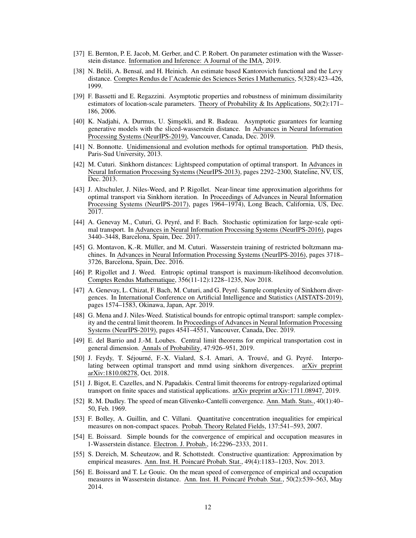- <span id="page-11-0"></span>[37] E. Bernton, P. E. Jacob, M. Gerber, and C. P. Robert. On parameter estimation with the Wasserstein distance. Information and Inference: A Journal of the IMA, 2019.
- <span id="page-11-1"></span>[38] N. Belili, A. Bensaï, and H. Heinich. An estimate based Kantorovich functional and the Levy distance. Comptes Rendus de l'Academie des Sciences Series I Mathematics, 5(328):423–426, 1999.
- <span id="page-11-2"></span>[39] F. Bassetti and E. Regazzini. Asymptotic properties and robustness of minimum dissimilarity estimators of location-scale parameters. Theory of Probability & Its Applications, 50(2):171– 186, 2006.
- <span id="page-11-3"></span>[40] K. Nadjahi, A. Durmus, U. Şimşekli, and R. Badeau. Asymptotic guarantees for learning generative models with the sliced-wasserstein distance. In Advances in Neural Information Processing Systems (NeurIPS-2019), Vancouver, Canada, Dec. 2019.
- <span id="page-11-4"></span>[41] N. Bonnotte. Unidimensional and evolution methods for optimal transportation. PhD thesis, Paris-Sud University, 2013.
- <span id="page-11-5"></span>[42] M. Cuturi. Sinkhorn distances: Lightspeed computation of optimal transport. In Advances in Neural Information Processing Systems (NeurIPS-2013), pages 2292–2300, Stateline, NV, US, Dec. 2013.
- <span id="page-11-6"></span>[43] J. Altschuler, J. Niles-Weed, and P. Rigollet. Near-linear time approximation algorithms for optimal transport via Sinkhorn iteration. In Proceedings of Advances in Neural Information Processing Systems (NeurIPS-2017), pages 1964–1974), Long Beach, California, US, Dec. 2017.
- <span id="page-11-7"></span>[44] A. Genevay M., Cuturi, G. Peyré, and F. Bach. Stochastic optimization for large-scale optimal transport. In Advances in Neural Information Processing Systems (NeurIPS-2016), pages 3440–3448, Barcelona, Spain, Dec. 2017.
- [45] G. Montavon, K.-R. Müller, and M. Cuturi. Wasserstein training of restricted boltzmann machines. In Advances in Neural Information Processing Systems (NeurIPS-2016), pages 3718– 3726, Barcelona, Spain, Dec. 2016.
- <span id="page-11-8"></span>[46] P. Rigollet and J. Weed. Entropic optimal transport is maximum-likelihood deconvolution. Comptes Rendus Mathematique, 356(11-12):1228–1235, Nov 2018.
- <span id="page-11-9"></span>[47] A. Genevay, L. Chizat, F. Bach, M. Cuturi, and G. Peyré. Sample complexity of Sinkhorn divergences. In International Conference on Artificial Intelligence and Statistics (AISTATS-2019), pages 1574–1583, Okinawa, Japan, Apr. 2019.
- <span id="page-11-10"></span>[48] G. Mena and J. Niles-Weed. Statistical bounds for entropic optimal transport: sample complexity and the central limit theorem. In Proceedings of Advances in Neural Information Processing Systems (NeurIPS-2019), pages 4541–4551, Vancouver, Canada, Dec. 2019.
- <span id="page-11-11"></span>[49] E. del Barrio and J.-M. Loubes. Central limit theorems for empirical transportation cost in general dimension. Annals of Probability, 47:926–951, 2019.
- <span id="page-11-12"></span>[50] J. Feydy, T. Séjourné, F.-X. Vialard, S.-I. Amari, A. Trouvé, and G. Peyré. Interpolating between optimal transport and mmd using sinkhorn divergences. arXiv preprint arXiv:1810.08278, Oct. 2018.
- <span id="page-11-13"></span>[51] J. Bigot, E. Cazelles, and N. Papadakis. Central limit theorems for entropy-regularized optimal transport on finite spaces and statistical applications. arXiv preprint arXiv:1711.08947, 2019.
- <span id="page-11-14"></span>[52] R. M. Dudley. The speed of mean Glivenko-Cantelli convergence. Ann. Math. Stats., 40(1):40– 50, Feb. 1969.
- [53] F. Bolley, A. Guillin, and C. Villani. Quantitative concentration inequalities for empirical measures on non-compact spaces. Probab. Theory Related Fields, 137:541–593, 2007.
- [54] E. Boissard. Simple bounds for the convergence of empirical and occupation measures in 1-Wasserstein distance. Electron. J. Probab., 16:2296–2333, 2011.
- [55] S. Dereich, M. Scheutzow, and R. Schottstedt. Constructive quantization: Approximation by empirical measures. Ann. Inst. H. Poincaré Probab. Stat., 49(4):1183–1203, Nov. 2013.
- [56] E. Boissard and T. Le Gouic. On the mean speed of convergence of empirical and occupation measures in Wasserstein distance. Ann. Inst. H. Poincaré Probab. Stat., 50(2):539–563, May 2014.